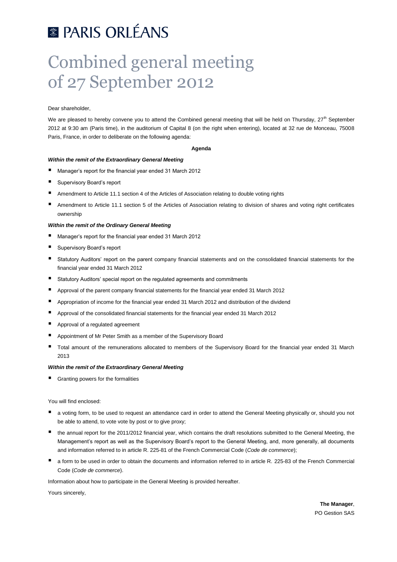# **E PARIS ORLÉANS**

# Combined general meeting of 27 September 2012

Dear shareholder,

We are pleased to hereby convene you to attend the Combined general meeting that will be held on Thursday,  $27<sup>th</sup>$  September 2012 at 9:30 am (Paris time), in the auditorium of Capital 8 (on the right when entering), located at 32 rue de Monceau, 75008 Paris, France, in order to deliberate on the following agenda:

#### **Agenda**

# *Within the remit of the Extraordinary General Meeting*

- Manager's report for the financial year ended 31 March 2012
- Supervisory Board's report
- Amendment to Article 11.1 section 4 of the Articles of Association relating to double voting rights
- Amendment to Article 11.1 section 5 of the Articles of Association relating to division of shares and voting right certificates ownership

# *Within the remit of the Ordinary General Meeting*

- Manager's report for the financial year ended 31 March 2012
- Supervisory Board's report
- Statutory Auditors' report on the parent company financial statements and on the consolidated financial statements for the financial year ended 31 March 2012
- Statutory Auditors' special report on the regulated agreements and commitments
- Approval of the parent company financial statements for the financial year ended 31 March 2012
- Appropriation of income for the financial year ended 31 March 2012 and distribution of the dividend
- Approval of the consolidated financial statements for the financial year ended 31 March 2012
- Approval of a regulated agreement
- **Appointment of Mr Peter Smith as a member of the Supervisory Board**
- Total amount of the remunerations allocated to members of the Supervisory Board for the financial year ended 31 March 2013

# *Within the remit of the Extraordinary General Meeting*

Granting powers for the formalities

You will find enclosed:

- a voting form, to be used to request an attendance card in order to attend the General Meeting physically or, should you not be able to attend, to vote vote by post or to give proxy;
- the annual report for the 2011/2012 financial year, which contains the draft resolutions submitted to the General Meeting, the Management's report as well as the Supervisory Board's report to the General Meeting, and, more generally, all documents and information referred to in article R. 225-81 of the French Commercial Code (*Code de commerce*);
- a form to be used in order to obtain the documents and information referred to in article R. 225-83 of the French Commercial Code (*Code de commerce*).

Information about how to participate in the General Meeting is provided hereafter.

Yours sincerely,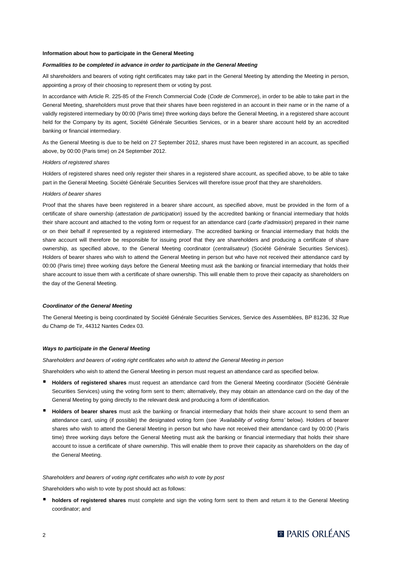#### **Information about how to participate in the General Meeting**

#### *Formalities to be completed in advance in order to participate in the General Meeting*

All shareholders and bearers of voting right certificates may take part in the General Meeting by attending the Meeting in person, appointing a proxy of their choosing to represent them or voting by post.

In accordance with Article R. 225-85 of the French Commercial Code (*Code de Commerce*), in order to be able to take part in the General Meeting, shareholders must prove that their shares have been registered in an account in their name or in the name of a validly registered intermediary by 00:00 (Paris time) three working days before the General Meeting, in a registered share account held for the Company by its agent, Société Générale Securities Services, or in a bearer share account held by an accredited banking or financial intermediary.

As the General Meeting is due to be held on 27 September 2012, shares must have been registered in an account, as specified above, by 00:00 (Paris time) on 24 September 2012.

#### *Holders of registered shares*

Holders of registered shares need only register their shares in a registered share account, as specified above, to be able to take part in the General Meeting. Société Générale Securities Services will therefore issue proof that they are shareholders.

#### *Holders of bearer shares*

Proof that the shares have been registered in a bearer share account, as specified above, must be provided in the form of a certificate of share ownership (*attestation de participation*) issued by the accredited banking or financial intermediary that holds their share account and attached to the voting form or request for an attendance card (*carte d'admission*) prepared in their name or on their behalf if represented by a registered intermediary. The accredited banking or financial intermediary that holds the share account will therefore be responsible for issuing proof that they are shareholders and producing a certificate of share ownership, as specified above, to the General Meeting coordinator (*centralisateur*) (Société Générale Securities Services). Holders of bearer shares who wish to attend the General Meeting in person but who have not received their attendance card by 00:00 (Paris time) three working days before the General Meeting must ask the banking or financial intermediary that holds their share account to issue them with a certificate of share ownership. This will enable them to prove their capacity as shareholders on the day of the General Meeting.

#### *Coordinator of the General Meeting*

The General Meeting is being coordinated by Société Générale Securities Services, Service des Assemblées, BP 81236, 32 Rue du Champ de Tir, 44312 Nantes Cedex 03.

#### *Ways to participate in the General Meeting*

*Shareholders and bearers of voting right certificates who wish to attend the General Meeting in person*

Shareholders who wish to attend the General Meeting in person must request an attendance card as specified below.

- **Holders of registered shares** must request an attendance card from the General Meeting coordinator (Société Générale Securities Services) using the voting form sent to them; alternatively, they may obtain an attendance card on the day of the General Meeting by going directly to the relevant desk and producing a form of identification.
- **Holders of bearer shares** must ask the banking or financial intermediary that holds their share account to send them an attendance card, using (if possible) the designated voting form (see *'Availability of voting forms'* below). Holders of bearer shares who wish to attend the General Meeting in person but who have not received their attendance card by 00:00 (Paris time) three working days before the General Meeting must ask the banking or financial intermediary that holds their share account to issue a certificate of share ownership. This will enable them to prove their capacity as shareholders on the day of the General Meeting.

## *Shareholders and bearers of voting right certificates who wish to vote by post*

Shareholders who wish to vote by post should act as follows:

 **holders of registered shares** must complete and sign the voting form sent to them and return it to the General Meeting coordinator; and

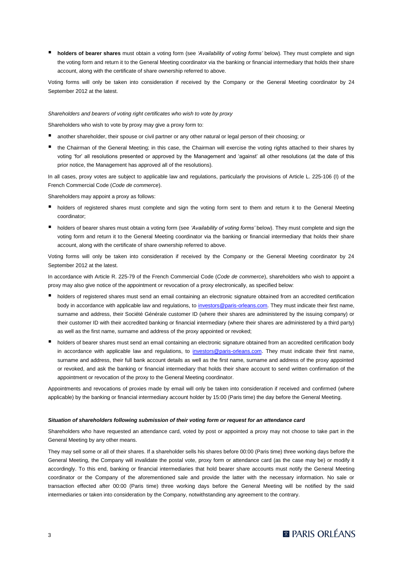**holders of bearer shares** must obtain a voting form (see *'Availability of voting forms'* below). They must complete and sign the voting form and return it to the General Meeting coordinator via the banking or financial intermediary that holds their share account, along with the certificate of share ownership referred to above.

Voting forms will only be taken into consideration if received by the Company or the General Meeting coordinator by 24 September 2012 at the latest.

#### *Shareholders and bearers of voting right certificates who wish to vote by proxy*

Shareholders who wish to vote by proxy may give a proxy form to:

- another shareholder, their spouse or civil partner or any other natural or legal person of their choosing; or
- the Chairman of the General Meeting; in this case, the Chairman will exercise the voting rights attached to their shares by voting 'for' all resolutions presented or approved by the Management and 'against' all other resolutions (at the date of this prior notice, the Management has approved all of the resolutions).

In all cases, proxy votes are subject to applicable law and regulations, particularly the provisions of Article L. 225-106 (I) of the French Commercial Code (*Code de commerce*).

Shareholders may appoint a proxy as follows:

- holders of registered shares must complete and sign the voting form sent to them and return it to the General Meeting coordinator;
- holders of bearer shares must obtain a voting form (see *'Availability of voting forms'* below). They must complete and sign the voting form and return it to the General Meeting coordinator via the banking or financial intermediary that holds their share account, along with the certificate of share ownership referred to above.

Voting forms will only be taken into consideration if received by the Company or the General Meeting coordinator by 24 September 2012 at the latest.

In accordance with Article R. 225-79 of the French Commercial Code (*Code de commerce*), shareholders who wish to appoint a proxy may also give notice of the appointment or revocation of a proxy electronically, as specified below:

- holders of registered shares must send an email containing an electronic signature obtained from an accredited certification body in accordance with applicable law and regulations, to [investors@paris-orleans.com.](mailto:investors@paris-orleans.com) They must indicate their first name, surname and address, their Société Générale customer ID (where their shares are administered by the issuing company) or their customer ID with their accredited banking or financial intermediary (where their shares are administered by a third party) as well as the first name, surname and address of the proxy appointed or revoked;
- holders of bearer shares must send an email containing an electronic signature obtained from an accredited certification body in accordance with applicable law and regulations, to [investors@paris-orleans.com.](mailto:investors@paris-orleans.com) They must indicate their first name, surname and address, their full bank account details as well as the first name, surname and address of the proxy appointed or revoked, and ask the banking or financial intermediary that holds their share account to send written confirmation of the appointment or revocation of the proxy to the General Meeting coordinator.

Appointments and revocations of proxies made by email will only be taken into consideration if received and confirmed (where applicable) by the banking or financial intermediary account holder by 15:00 (Paris time) the day before the General Meeting.

# *Situation of shareholders following submission of their voting form or request for an attendance card*

Shareholders who have requested an attendance card, voted by post or appointed a proxy may not choose to take part in the General Meeting by any other means.

They may sell some or all of their shares. If a shareholder sells his shares before 00:00 (Paris time) three working days before the General Meeting, the Company will invalidate the postal vote, proxy form or attendance card (as the case may be) or modify it accordingly. To this end, banking or financial intermediaries that hold bearer share accounts must notify the General Meeting coordinator or the Company of the aforementioned sale and provide the latter with the necessary information. No sale or transaction effected after 00:00 (Paris time) three working days before the General Meeting will be notified by the said intermediaries or taken into consideration by the Company, notwithstanding any agreement to the contrary.